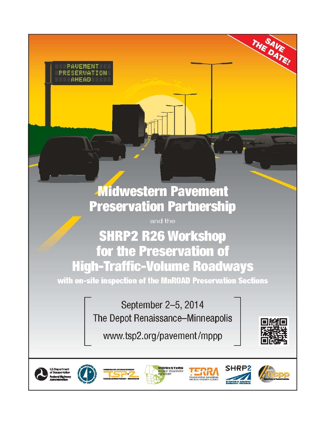## **Midwestern Pavement Preservation Partnership**

PAUEMENT PRESERVATION **AHEAD** 

and the

## **SHRP2 R26 Workshop** for the Preservation of **High-Traffic-Volume Roadways**

with on-site inspection of the MnROAD Preservation Sections

September 2-5, 2014 The Depot Renaissance-Minneapolis

www.tsp2.org/pavement/mppp



THE DATE!

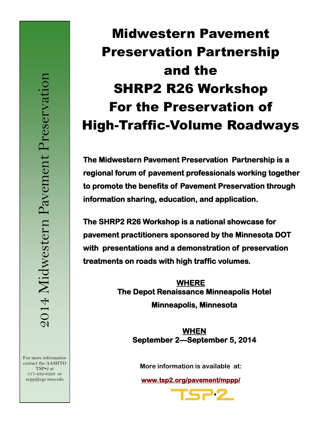For more information contact the AASHTO TSP•2 at 517-432-8220 or ncpp@egr.msu.edu

# Midwestern Pavement Preservation Partnership and the SHRP2 R26 Workshop For the Preservation of High-Traffic-Volume Roadways

**The Midwestern Pavement Preservation Partnership is a regional forum of pavement professionals working together to promote the benefits of Pavement Preservation through information sharing, education, and application.** 

**The SHRP2 R26 Workshop is a national showcase for pavement practitioners sponsored by the Minnesota DOT with presentations and a demonstration of preservation treatments on roads with high traffic volumes.** 

> **WHERE The Depot Renaissance Minneapolis Hotel Minneapolis, Minnesota**

> > **WHEN September 2—September 5, 2014**

**More information is available at:** 

**www.tsp2.org/pavement/mppp/** 

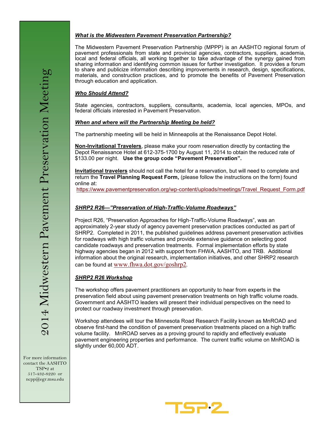#### *What is the Midwestern Pavement Preservation Partnership?*

The Midwestern Pavement Preservation Partnership (MPPP) is an AASHTO regional forum of pavement professionals from state and provincial agencies, contractors, suppliers, academia, local and federal officials, all working together to take advantage of the synergy gained from sharing information and identifying common issues for further investigation. It provides a forum to share and publicize information describing improvements in research, design, specifications, materials, and construction practices, and to promote the benefits of Pavement Preservation through education and application.

#### *Who Should Attend?*

State agencies, contractors, suppliers, consultants, academia, local agencies, MPOs, and federal officials interested in Pavement Preservation.

#### *When and where will the Partnership Meeting be held?*

The partnership meeting will be held in Minneapolis at the Renaissance Depot Hotel.

**Non-Invitational Travelers**, please make your room reservation directly by contacting the Depot Renaissance Hotel at 612-375-1700 by August 11, 2014 to obtain the reduced rate of \$133.00 per night. **Use the group code "Pavement Preservation".**

**Invitational travelers** should not call the hotel for a reservation, but will need to complete and return the **Travel Planning Request Form,** (please follow the instructions on the form) found online at:

https://www.pavementpreservation.org/wp-[content/uploads/meetings/Travel\\_Request\\_Form.pdf](http://www.pavementpreservation.org/wp-content/uploads/meetings/Travel_Request_Form.pdf)

#### *SHRP2 R26—"Preservation of High-Traffic-Volume Roadways"*

Project R26, "Preservation Approaches for High-Traffic-Volume Roadways", was an approximately 2-year study of agency pavement preservation practices conducted as part of SHRP2. Completed in 2011, the published guidelines address pavement preservation activities for roadways with high traffic volumes and provide extensive guidance on selecting good candidate roadways and preservation treatments. Formal implementation efforts by state highway agencies began in 2012 with support from FHWA, AASHTO, and TRB. Additional information about the original research, implementation initiatives, and other SHRP2 research can be found at [www.fhwa.dot.gov/goshrp2](http://www.fhwa.dot.gov/goshrp2)*.*

#### *SHRP2 R26 Workshop*

The workshop offers pavement practitioners an opportunity to hear from experts in the preservation field about using pavement preservation treatments on high traffic volume roads. Government and AASHTO leaders will present their individual perspectives on the need to protect our roadway investment through preservation.

Workshop attendees will tour the Minnesota Road Research Facility known as MnROAD and observe first-hand the condition of pavement preservation treatments placed on a high traffic volume facility. MnROAD serves as a proving ground to rapidly and effectively evaluate pavement engineering properties and performance. The current traffic volume on MnROAD is slightly under 60,000 ADT.

For more information contact the AASHTO TSP•2 at 517-432-8220 or ncpp@egr.msu.edu

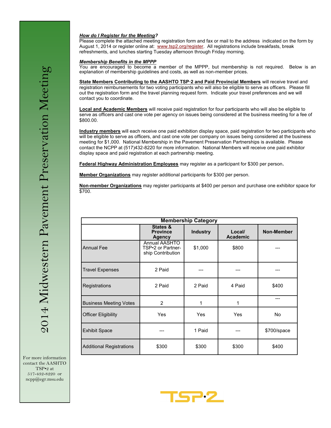#### *How do I Register for the Meeting?*

Please complete the attached meeting registration form and fax or mail to the address indicated on the form by August 1, 2014 or register online at: [www.tsp2.org/register.](http://www.tsp2.org/register) All registrations include breakfasts, break refreshments, and lunches starting Tuesday afternoon through Friday morning.

#### *Membership Benefits in the MPPP*

You are encouraged to become a member of the MPPP, but membership is not required. Below is an explanation of membership guidelines and costs, as well as non-member prices.

**State Members Contributing to the AASHTO TSP·2 and Paid Provincial Members** will receive travel and registration reimbursements for two voting participants who will also be eligible to serve as officers. Please fill out the registration form and the travel planning request form. Indicate your travel preferences and we will contact you to coordinate.

**Local and Academic Members** will receive paid registration for four participants who will also be eligible to serve as officers and cast one vote per agency on issues being considered at the business meeting for a fee of \$800.00.

**Industry members** will each receive one paid exhibition display space, paid registration for two participants who will be eligible to serve as officers, and cast one vote per company on issues being considered at the business meeting for \$1,000. National Membership in the Pavement Preservation Partnerships is available. Please contact the NCPP at (517)432-8220 for more information. National Members will receive one paid exhibitor display space and paid registration at each partnership meeting.

**Federal Highway Administration Employees** may register as a participant for \$300 per person**.**

**Member Organizations** may register additional participants for \$300 per person.

**Non-member Organizations** may register participants at \$400 per person and purchase one exhibitor space for \$700.

|                                 |                                                                | <b>Membership Category</b> |                           |             |
|---------------------------------|----------------------------------------------------------------|----------------------------|---------------------------|-------------|
|                                 | <b>States &amp;</b><br><b>Province</b><br>Agency               | <b>Industry</b>            | Local/<br><b>Academic</b> | Non-Member  |
| <b>Annual Fee</b>               | <b>Annual AASHTO</b><br>TSP•2 or Partner-<br>ship Contribution | \$1,000                    | \$800                     |             |
| <b>Travel Expenses</b>          | 2 Paid                                                         |                            |                           |             |
| Registrations                   | 2 Paid                                                         | 2 Paid                     | 4 Paid                    | \$400       |
| <b>Business Meeting Votes</b>   | $\overline{2}$                                                 | 1                          | 1                         | ---         |
| <b>Officer Eligibility</b>      | Yes                                                            | <b>Yes</b>                 | Yes                       | <b>No</b>   |
| <b>Exhibit Space</b>            |                                                                | 1 Paid                     |                           | \$700/space |
| <b>Additional Registrations</b> | \$300                                                          | \$300                      | \$300                     | \$400       |

For more information contact the AASHTO TSP•2 at 517-432-8220 or ncpp@egr.msu.edu

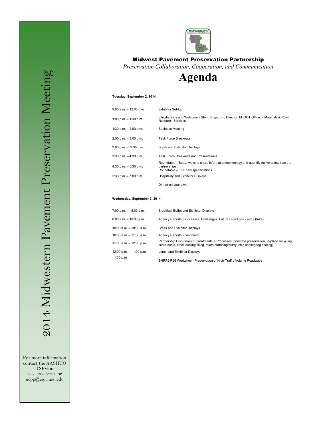

#### Midwest Pavement Preservation Partnership

*Preservation Collaboration, Cooperation, and Communication*

**Agenda** 

#### **Tuesday, September 2, 2014**

| 9:00 a.m. - 12:00 p.m.   | Exhibitor Set-Up                                                                                                                                   |
|--------------------------|----------------------------------------------------------------------------------------------------------------------------------------------------|
| 1:00 p.m. $-$ 1:30 p.m.  | Introductions and Welcome - Glenn Engstrom, Director, MnDOT Office of Materials & Road<br><b>Research Services</b>                                 |
| 1:30 p.m. $-$ 2:00 p.m.  | <b>Business Meeting</b>                                                                                                                            |
| 2:00 p.m. - 3:00 p.m.    | <b>Task Force Breakouts</b>                                                                                                                        |
| $3:00$ p.m. $-3:30$ p.m. | <b>Break and Exhibitor Displays</b>                                                                                                                |
| 3:30 p.m. - 4:30 p.m.    | <b>Task Force Breakouts and Presentations</b>                                                                                                      |
| 4:30 p.m. - 5:30 p.m.    | Roundtable – Better ways to share information/technology and quantify deliverables from the<br>partnerships<br>Roundtable - ETF new specifications |
| 5:30 p.m. - 7:00 p.m.    | <b>Hospitality and Exhibitor Displays</b>                                                                                                          |
|                          | Dinner on your own                                                                                                                                 |

#### **Wednesday, September 3, 2014**

| 7:00 a.m. - 8:00 a.m.                    | Breakfast Buffet and Exhibitor Displays                                                                                                                                               |
|------------------------------------------|---------------------------------------------------------------------------------------------------------------------------------------------------------------------------------------|
| 8:00 a.m. – 10:00 a.m.                   | Agency Reports (Successes, Challenges, Future Directions - with Q&A's)                                                                                                                |
| 10:00 a.m. - 10:30 a.m.                  | <b>Break and Exhibitor Displays</b>                                                                                                                                                   |
| 10:30 a.m. - 11:00 a.m.                  | Agency Reports - continued                                                                                                                                                            |
| 11:00 a.m. - 12:00 p.m.                  | Partnership Discussion of Treatments & Processes (concrete preservation, in-place recycling,<br>scrub seals, crack sealing/filling, micro surfacing/slurry, chip sealing/fog sealing) |
| $12:00 \text{ p.m.} - 1:00 \text{ p.m.}$ | Lunch and Exhibitor Displays                                                                                                                                                          |
| 1:00 p.m.                                | SHRP2 R26 Workshop - Preservation of High-Traffic-Volume Roadways                                                                                                                     |

For more information contact the AASHTO TSP•2 at 517-432-8220 or ncpp@egr.msu.edu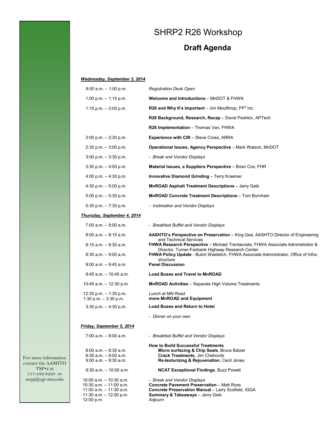## SHRP2 R26 Workshop

## **Draft Agenda**

#### *Wednesday, September 3, 2014*

| $9:00$ a.m. $-1:00$ p.m.                                                         | <b>Registration Desk Open</b>                                                                                                                                            |
|----------------------------------------------------------------------------------|--------------------------------------------------------------------------------------------------------------------------------------------------------------------------|
| 1:00 p.m. $-$ 1:15 p.m.                                                          | <b>Welcome and Introductions - MnDOT &amp; FHWA</b>                                                                                                                      |
| 1:15 p.m. $- 2:00$ p.m.                                                          | R26 and Why It's Important – Jim Moulthrop, $FP2$ Inc.                                                                                                                   |
|                                                                                  | R26 Background, Research, Recap - David Peshkin, APTech                                                                                                                  |
|                                                                                  | R26 Implementation - Thomas Van, FHWA                                                                                                                                    |
| $2:00$ p.m. $-2:30$ p.m.                                                         | <b>Experience with CIR</b> – Steve Cross, ARRA                                                                                                                           |
| $2:30$ p.m. $-3:00$ p.m.                                                         | Operational Issues, Agency Perspective - Mark Watson, MnDOT                                                                                                              |
| $3:00$ p.m. $-3:30$ p.m.                                                         | - Break and Vendor Displays                                                                                                                                              |
| $3:30$ p.m. $-4:00$ p.m.                                                         | Material Issues, a Suppliers Perspective - Brian Cox, FHR                                                                                                                |
| 4:00 p.m. $-$ 4:30 p.m.                                                          | Innovative Diamond Grinding - Terry Kraemer                                                                                                                              |
| 4:30 p.m. $-5:00$ p.m.                                                           | MnROAD Asphalt Treatment Descriptions - Jerry Geib                                                                                                                       |
| $5:00$ p.m. $-5:30$ p.m.                                                         | MnROAD Concrete Treatment Descriptions - Tom Burnham                                                                                                                     |
| 5:30 p.m. $-7:30$ p.m.                                                           | - Icebreaker and Vendor Displays                                                                                                                                         |
| <b>Thursday, September 4, 2014</b>                                               |                                                                                                                                                                          |
| 7:00 a.m. - 8:00 a.m.                                                            | - Breakfast Buffet and Vendor Displays                                                                                                                                   |
| $8:00$ a.m. $-8:15$ a.m.                                                         | AASHTO's Perspective on Preservation - King Gee, AASHTO Director of Engineering<br>and Technical Services                                                                |
| $8:15$ a.m. $-8:30$ a.m.                                                         | FHWA Research Perspective - Michael Trentacoste, FHWA Associate Administrator &                                                                                          |
| $8:30$ a.m. $-9:00$ a.m.                                                         | Director, Turner-Fairbank Highway Research Center<br>FHWA Policy Update - Butch Waidelich, FHWA Associate Administrator, Office of Infra-<br>structure                   |
| $9:00$ a.m. $-9:45$ a.m.                                                         | <b>Panel Discussion</b>                                                                                                                                                  |
| $9:45$ a.m. $-10:45$ a.m.                                                        | <b>Load Buses and Travel to MnROAD</b>                                                                                                                                   |
| 10:45 a.m. $-$ 12:30 p.m.                                                        | <b>MnROAD Activities</b> - Separate High Volume Treatments                                                                                                               |
| 12:30 p.m. $-$ 1:30 p.m.<br>1:30 p.m. $-3:30$ p.m.                               | Lunch at MN Road<br>more MnROAD and Equipment                                                                                                                            |
| $3:30$ p.m. $-4:30$ p.m.                                                         | <b>Load Buses and Return to Hotel</b>                                                                                                                                    |
|                                                                                  | - Dinner on your own                                                                                                                                                     |
| Friday, September 5, 2014                                                        |                                                                                                                                                                          |
| $7:00$ a.m. $-8:00$ a.m.                                                         | - Breakfast Buffet and Vendor Displays                                                                                                                                   |
| $8:00$ a.m. $-8:30$ a.m.<br>$8:30$ a.m. $-9:00$ a.m.<br>$9:00$ a.m. $-9:30$ a.m. | <b>How to Build Successful Treatments</b><br>Micro surfacing & Chip Seals, Bruce Batzer<br>Crack Treatments, Jim Chehovits<br>Re-texturizing & Rejuvenation, Cecil Jones |
| $9:30$ a.m. $-10:00$ a.m.                                                        | <b>NCAT Exceptional Findings, Buzz Powell</b>                                                                                                                            |
| 10:00 a.m. - 10:30 a.m.<br>$10:30$ a.m. $-11:00$ a.m.<br>11:00 a.m. - 11:30 a.m. | - Break and Vendor Displays<br><b>Concrete Pavement Preservation - Matt Ross</b><br>Concrete Preservation Manual - Larry Scofield, IGGA                                  |

**Summary & Takeaways** – Jerry Geib

*Adjourn*

For more information contact the AASHTO  $\text{TSP-2}$ at 517-432-8220 or ncpp@egr.msu.edu

11:30 a.m. – 12:00 p.m.

12:00 p.m.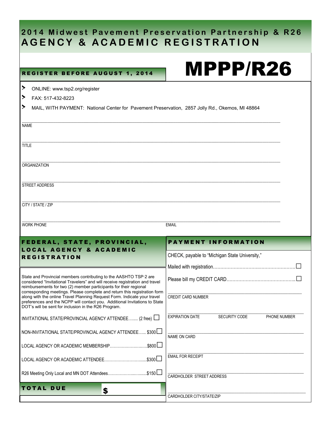## **2014 Midwest Pavement Preservation Partnership & R26 AGENCY & ACADEMIC REGISTRATION**

### REGISTER BEFORE AUGUST 1, 2014

# MPPP/R26

| $\blacktriangleright$                                                                                                                                                                                                                                                                                                                                                           | ONLINE: www.tsp2.org/register                                                                                                      |                                                         |
|---------------------------------------------------------------------------------------------------------------------------------------------------------------------------------------------------------------------------------------------------------------------------------------------------------------------------------------------------------------------------------|------------------------------------------------------------------------------------------------------------------------------------|---------------------------------------------------------|
| $\blacktriangleright$                                                                                                                                                                                                                                                                                                                                                           | FAX: 517-432-8223                                                                                                                  |                                                         |
| ▸                                                                                                                                                                                                                                                                                                                                                                               | MAIL, WITH PAYMENT: National Center for Pavement Preservation, 2857 Jolly Rd., Okemos, MI 48864                                    |                                                         |
| <b>NAME</b>                                                                                                                                                                                                                                                                                                                                                                     |                                                                                                                                    |                                                         |
| <b>TITLE</b>                                                                                                                                                                                                                                                                                                                                                                    |                                                                                                                                    |                                                         |
|                                                                                                                                                                                                                                                                                                                                                                                 | <b>ORGANIZATION</b>                                                                                                                |                                                         |
|                                                                                                                                                                                                                                                                                                                                                                                 | STREET ADDRESS                                                                                                                     |                                                         |
|                                                                                                                                                                                                                                                                                                                                                                                 | CITY / STATE / ZIP                                                                                                                 |                                                         |
|                                                                                                                                                                                                                                                                                                                                                                                 | <b>WORK PHONE</b>                                                                                                                  | <b>EMAIL</b>                                            |
|                                                                                                                                                                                                                                                                                                                                                                                 | FEDERAL, STATE, PROVINCIAL,                                                                                                        | <b>PAYMENT INFORMATION</b>                              |
|                                                                                                                                                                                                                                                                                                                                                                                 | <b>LOCAL AGENCY &amp; ACADEMIC</b>                                                                                                 | CHECK, payable to "Michigan State University,"          |
|                                                                                                                                                                                                                                                                                                                                                                                 | <b>REGISTRATION</b>                                                                                                                |                                                         |
|                                                                                                                                                                                                                                                                                                                                                                                 |                                                                                                                                    |                                                         |
| State and Provincial members contributing to the AASHTO TSP.2 are<br>considered "Invitational Travelers" and will receive registration and travel<br>reimbursements for two (2) member participants for their regional<br>corresponding meetings. Please complete and return this registration form<br>along with the online Travel Planning Request Form. Indicate your travel |                                                                                                                                    | <b>CREDIT CARD NUMBER</b>                               |
|                                                                                                                                                                                                                                                                                                                                                                                 | preferences and the NCPP will contact you. Additional Invitations to State<br>DOT's will be sent for inclusion in the R26 Program. |                                                         |
|                                                                                                                                                                                                                                                                                                                                                                                 | INVITATIONAL STATE/PROVINCIAL AGENCY ATTENDEE (2 free)                                                                             | <b>EXPIRATION DATE</b><br>SECURITY CODE<br>PHONE NUMBER |
|                                                                                                                                                                                                                                                                                                                                                                                 | \$300L<br>NON-INVITATIONAL STATE/PROVINCIAL AGENCY ATTENDEE                                                                        | NAME ON CARD                                            |
|                                                                                                                                                                                                                                                                                                                                                                                 |                                                                                                                                    |                                                         |
|                                                                                                                                                                                                                                                                                                                                                                                 | $. $800$ $\Box$<br>LOCAL AGENCY OR ACADEMIC MEMBERSHIP                                                                             |                                                         |
|                                                                                                                                                                                                                                                                                                                                                                                 |                                                                                                                                    | <b>EMAIL FOR RECEIPT</b>                                |
|                                                                                                                                                                                                                                                                                                                                                                                 | R26 Meeting Only Local and MN DOT Attendees\$150                                                                                   | CARDHOLDER STREET ADDRESS                               |
|                                                                                                                                                                                                                                                                                                                                                                                 | <b>TOTAL DUE</b><br>\$                                                                                                             | CARDHOLDER CITY/STATE/ZIP                               |